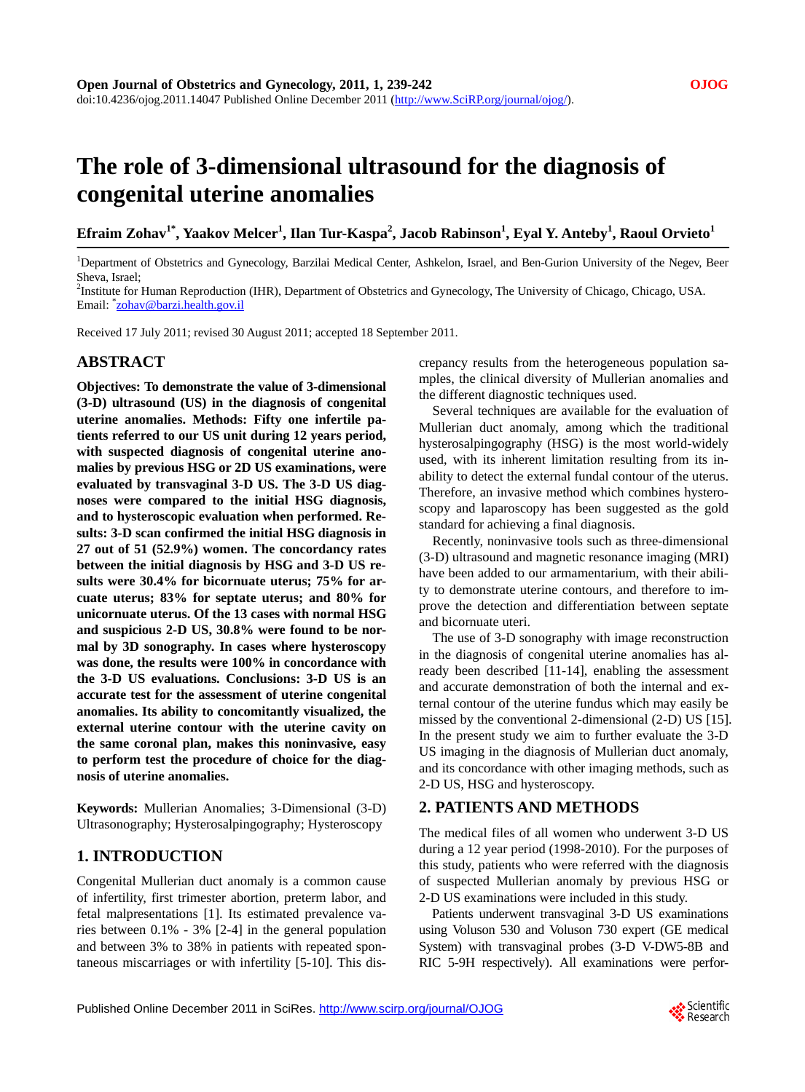# **The role of 3-dimensional ultrasound for the diagnosis of congenital uterine anomalies**

 $\mathbf{E}\mathbf{f}$ raim Zohav $^{1^*},$  Yaakov Melcer $^{1},$  Ilan Tur-Kaspa $^{2},$  Jacob Rabinson $^{1},$  Eyal Y. Anteby $^{1},$  Raoul Orvieto $^{1}$ 

<sup>1</sup>Department of Obstetrics and Gynecology, Barzilai Medical Center, Ashkelon, Israel, and Ben-Gurion University of the Negev, Beer Sheva, Israel;

<sup>2</sup>Institute for Human Reproduction (IHR), Department of Obstetrics and Gynecology, The University of Chicago, Chicago, USA. Email: <sup>\*</sup><u>[zohav@barzi.health.gov.il](mailto:zohav@barzi.health.gov.il)</u>

Received 17 July 2011; revised 30 August 2011; accepted 18 September 2011.

## **ABSTRACT**

**Objectives: To demonstrate the value of 3-dimensional (3-D) ultrasound (US) in the diagnosis of congenital uterine anomalies. Methods: Fifty one infertile patients referred to our US unit during 12 years period, with suspected diagnosis of congenital uterine anomalies by previous HSG or 2D US examinations, were evaluated by transvaginal 3-D US. The 3-D US diagnoses were compared to the initial HSG diagnosis, and to hysteroscopic evaluation when performed. Results: 3-D scan confirmed the initial HSG diagnosis in 27 out of 51 (52.9%) women. The concordancy rates between the initial diagnosis by HSG and 3-D US results were 30.4% for bicornuate uterus; 75% for arcuate uterus; 83% for septate uterus; and 80% for unicornuate uterus. Of the 13 cases with normal HSG and suspicious 2-D US, 30.8% were found to be normal by 3D sonography. In cases where hysteroscopy was done, the results were 100% in concordance with the 3-D US evaluations. Conclusions: 3-D US is an accurate test for the assessment of uterine congenital anomalies. Its ability to concomitantly visualized, the external uterine contour with the uterine cavity on the same coronal plan, makes this noninvasive, easy to perform test the procedure of choice for the diagnosis of uterine anomalies.** 

**Keywords:** Mullerian Anomalies; 3-Dimensional (3-D) Ultrasonography; Hysterosalpingography; Hysteroscopy

# **1. INTRODUCTION**

Congenital Mullerian duct anomaly is a common cause of infertility, first trimester abortion, preterm labor, and fetal malpresentations [1]. Its estimated prevalence varies between 0.1% - 3% [2-4] in the general population and between 3% to 38% in patients with repeated spontaneous miscarriages or with infertility [5-10]. This discrepancy results from the heterogeneous population samples, the clinical diversity of Mullerian anomalies and the different diagnostic techniques used.

Several techniques are available for the evaluation of Mullerian duct anomaly, among which the traditional hysterosalpingography (HSG) is the most world-widely used, with its inherent limitation resulting from its inability to detect the external fundal contour of the uterus. Therefore, an invasive method which combines hysteroscopy and laparoscopy has been suggested as the gold standard for achieving a final diagnosis.

Recently, noninvasive tools such as three-dimensional (3-D) ultrasound and magnetic resonance imaging (MRI) have been added to our armamentarium, with their ability to demonstrate uterine contours, and therefore to improve the detection and differentiation between septate and bicornuate uteri.

The use of 3-D sonography with image reconstruction in the diagnosis of congenital uterine anomalies has already been described [11-14], enabling the assessment and accurate demonstration of both the internal and external contour of the uterine fundus which may easily be missed by the conventional 2-dimensional (2-D) US [15]. In the present study we aim to further evaluate the 3-D US imaging in the diagnosis of Mullerian duct anomaly, and its concordance with other imaging methods, such as 2-D US, HSG and hysteroscopy.

## **2. PATIENTS AND METHODS**

The medical files of all women who underwent 3-D US during a 12 year period (1998-2010). For the purposes of this study, patients who were referred with the diagnosis of suspected Mullerian anomaly by previous HSG or 2-D US examinations were included in this study.

Patients underwent transvaginal 3-D US examinations using Voluson 530 and Voluson 730 expert (GE medical System) with transvaginal probes (3-D V-DW5-8B and RIC 5-9H respectively). All examinations were perfor-

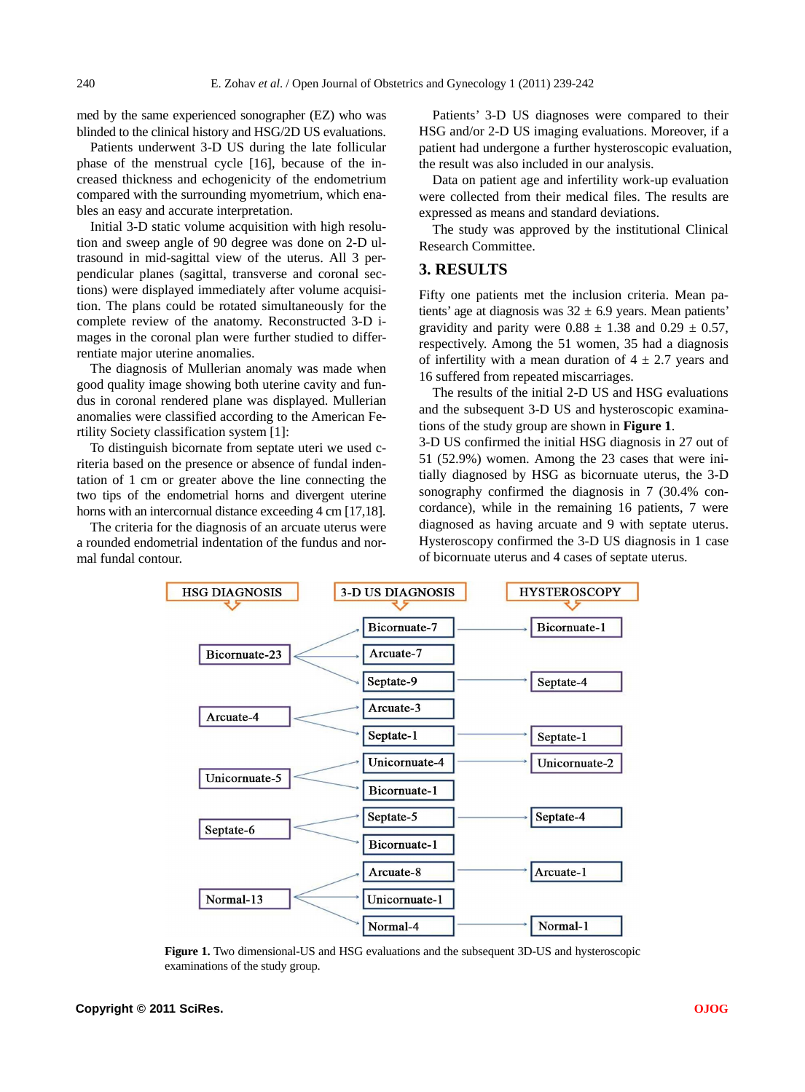med by the same experienced sonographer (EZ) who was blinded to the clinical history and HSG/2D US evaluations.

Patients underwent 3-D US during the late follicular phase of the menstrual cycle [16], because of the increased thickness and echogenicity of the endometrium compared with the surrounding myometrium, which enables an easy and accurate interpretation.

Initial 3-D static volume acquisition with high resolution and sweep angle of 90 degree was done on 2-D ultrasound in mid-sagittal view of the uterus. All 3 perpendicular planes (sagittal, transverse and coronal sections) were displayed immediately after volume acquisition. The plans could be rotated simultaneously for the complete review of the anatomy. Reconstructed 3-D images in the coronal plan were further studied to differrentiate major uterine anomalies.

The diagnosis of Mullerian anomaly was made when good quality image showing both uterine cavity and fundus in coronal rendered plane was displayed. Mullerian anomalies were classified according to the American Fertility Society classification system [1]:

To distinguish bicornate from septate uteri we used criteria based on the presence or absence of fundal indentation of 1 cm or greater above the line connecting the two tips of the endometrial horns and divergent uterine horns with an intercornual distance exceeding 4 cm [17,18].

The criteria for the diagnosis of an arcuate uterus were a rounded endometrial indentation of the fundus and normal fundal contour.

Patients' 3-D US diagnoses were compared to their HSG and/or 2-D US imaging evaluations. Moreover, if a patient had undergone a further hysteroscopic evaluation, the result was also included in our analysis.

Data on patient age and infertility work-up evaluation were collected from their medical files. The results are expressed as means and standard deviations.

The study was approved by the institutional Clinical Research Committee.

#### **3. RESULTS**

Fifty one patients met the inclusion criteria. Mean patients' age at diagnosis was  $32 \pm 6.9$  years. Mean patients' gravidity and parity were  $0.88 \pm 1.38$  and  $0.29 \pm 0.57$ , respectively. Among the 51 women, 35 had a diagnosis of infertility with a mean duration of  $4 \pm 2.7$  years and 16 suffered from repeated miscarriages.

The results of the initial 2-D US and HSG evaluations and the subsequent 3-D US and hysteroscopic examinations of the study group are shown in **Figure 1**.

3-D US confirmed the initial HSG diagnosis in 27 out of 51 (52.9%) women. Among the 23 cases that were initially diagnosed by HSG as bicornuate uterus, the 3-D sonography confirmed the diagnosis in 7 (30.4% concordance), while in the remaining 16 patients, 7 were diagnosed as having arcuate and 9 with septate uterus. Hysteroscopy confirmed the 3-D US diagnosis in 1 case of bicornuate uterus and 4 cases of septate uterus.



**Figure 1.** Two dimensional-US and HSG evaluations and the subsequent 3D-US and hysteroscopic examinations of the study group.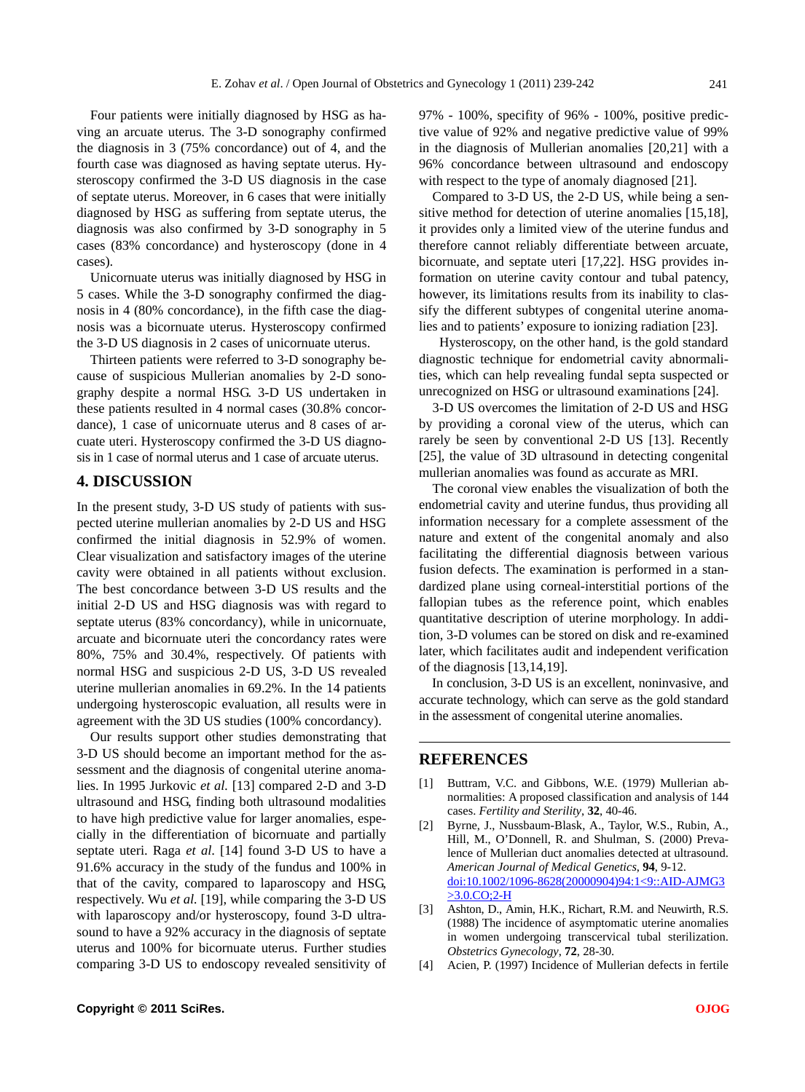Four patients were initially diagnosed by HSG as having an arcuate uterus. The 3-D sonography confirmed the diagnosis in 3 (75% concordance) out of 4, and the fourth case was diagnosed as having septate uterus. Hysteroscopy confirmed the 3-D US diagnosis in the case of septate uterus. Moreover, in 6 cases that were initially diagnosed by HSG as suffering from septate uterus, the diagnosis was also confirmed by 3-D sonography in 5 cases (83% concordance) and hysteroscopy (done in 4 cases).

Unicornuate uterus was initially diagnosed by HSG in 5 cases. While the 3-D sonography confirmed the diagnosis in 4 (80% concordance), in the fifth case the diagnosis was a bicornuate uterus. Hysteroscopy confirmed the 3-D US diagnosis in 2 cases of unicornuate uterus.

Thirteen patients were referred to 3-D sonography because of suspicious Mullerian anomalies by 2-D sonography despite a normal HSG. 3-D US undertaken in these patients resulted in 4 normal cases (30.8% concordance), 1 case of unicornuate uterus and 8 cases of arcuate uteri. Hysteroscopy confirmed the 3-D US diagnosis in 1 case of normal uterus and 1 case of arcuate uterus.

### **4. DISCUSSION**

In the present study, 3-D US study of patients with suspected uterine mullerian anomalies by 2-D US and HSG confirmed the initial diagnosis in 52.9% of women. Clear visualization and satisfactory images of the uterine cavity were obtained in all patients without exclusion. The best concordance between 3-D US results and the initial 2-D US and HSG diagnosis was with regard to septate uterus (83% concordancy), while in unicornuate, arcuate and bicornuate uteri the concordancy rates were 80%, 75% and 30.4%, respectively. Of patients with normal HSG and suspicious 2-D US, 3-D US revealed uterine mullerian anomalies in 69.2%. In the 14 patients undergoing hysteroscopic evaluation, all results were in agreement with the 3D US studies (100% concordancy).

Our results support other studies demonstrating that 3-D US should become an important method for the assessment and the diagnosis of congenital uterine anomalies. In 1995 Jurkovic *et al.* [13] compared 2-D and 3-D ultrasound and HSG, finding both ultrasound modalities to have high predictive value for larger anomalies, especially in the differentiation of bicornuate and partially septate uteri. Raga *et al*. [14] found 3-D US to have a 91.6% accuracy in the study of the fundus and 100% in that of the cavity, compared to laparoscopy and HSG, respectively. Wu *et al.* [19], while comparing the 3-D US with laparoscopy and/or hysteroscopy, found 3-D ultrasound to have a 92% accuracy in the diagnosis of septate uterus and 100% for bicornuate uterus. Further studies comparing 3-D US to endoscopy revealed sensitivity of 97% - 100%, specifity of 96% - 100%, positive predictive value of 92% and negative predictive value of 99% in the diagnosis of Mullerian anomalies [20,21] with a 96% concordance between ultrasound and endoscopy with respect to the type of anomaly diagnosed [21].

Compared to 3-D US, the 2-D US, while being a sensitive method for detection of uterine anomalies [15,18], it provides only a limited view of the uterine fundus and therefore cannot reliably differentiate between arcuate, bicornuate, and septate uteri [17,22]. HSG provides information on uterine cavity contour and tubal patency, however, its limitations results from its inability to classify the different subtypes of congenital uterine anomalies and to patients' exposure to ionizing radiation [23].

 Hysteroscopy, on the other hand, is the gold standard diagnostic technique for endometrial cavity abnormalities, which can help revealing fundal septa suspected or unrecognized on HSG or ultrasound examinations [24].

3-D US overcomes the limitation of 2-D US and HSG by providing a coronal view of the uterus, which can rarely be seen by conventional 2-D US [13]. Recently [25], the value of 3D ultrasound in detecting congenital mullerian anomalies was found as accurate as MRI.

The coronal view enables the visualization of both the endometrial cavity and uterine fundus, thus providing all information necessary for a complete assessment of the nature and extent of the congenital anomaly and also facilitating the differential diagnosis between various fusion defects. The examination is performed in a standardized plane using corneal-interstitial portions of the fallopian tubes as the reference point, which enables quantitative description of uterine morphology. In addition, 3-D volumes can be stored on disk and re-examined later, which facilitates audit and independent verification of the diagnosis [13,14,19].

In conclusion, 3-D US is an excellent, noninvasive, and accurate technology, which can serve as the gold standard in the assessment of congenital uterine anomalies.

#### **REFERENCES**

- [1] Buttram, V.C. and Gibbons, W.E. (1979) Mullerian abnormalities: A proposed classification and analysis of 144 cases. *Fertility and Sterility*, **32**, 40-46.
- [2] Byrne, J., Nussbaum-Blask, A., Taylor, W.S., Rubin, A., Hill, M., O'Donnell, R. and Shulman, S. (2000) Prevalence of Mullerian duct anomalies detected at ultrasound. *American Journal of Medical Genetics*, **94**, 9-12. [doi:10.1002/1096-8628\(20000904\)94:1<9::AID-AJMG3](http://dx.doi.org/10.1002/1096-8628(20000904)94:1%3c9::AID-AJMG3%3e3.0.CO;2-H) [>3.0.CO;2-H](http://dx.doi.org/10.1002/1096-8628(20000904)94:1%3c9::AID-AJMG3%3e3.0.CO;2-H)
- [3] Ashton, D., Amin, H.K., Richart, R.M. and Neuwirth, R.S. (1988) The incidence of asymptomatic uterine anomalies in women undergoing transcervical tubal sterilization. *Obstetrics Gynecology*, **72**, 28-30.
- [4] Acien, P. (1997) Incidence of Mullerian defects in fertile